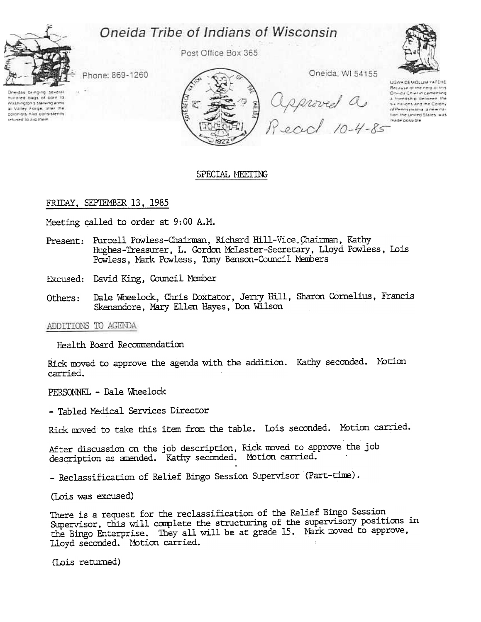# Oneida Tribe of Indians of Wisconsin



Post Office Box 365



Phone: 869-1260

Deedas brinoing several hundred bags of corn to Washington's starving army at Valley Forge, after the colonists had consistently retused to aid them



# SPECIAL MEETING

# FRIDAY, SEPTEMBER 13, 1985

Meeting called to order at 9:00 A.M.

- Present: Purcell Powless-Chairman, Richard Hill-Vice\_Chairman, Kathy Hughes-Treasurer, L. Gordon McLester-Secretary, Lloyd Powless, Lois Powless, Mark Powless, Tony Benson-Council Members
- Excused: David King, Council Member
- Dale Wheelock, Chris Doxtator, Jerry Hill, Sharon Cornelius, Francis Others: Skenandore, Mary Ellen Hayes, Don Wilson

# ADDITIONS TO AGENDA

Health Board Recommendation

Rick moved to approve the agenda with the addition. Kathy seconded. Motion carried.

PERSONNEL - Dale Wheelock

- Tabled Medical Services Director

Rick moved to take this item from the table. Lois seconded. Motion carried.

After discussion on the job description, Rick mved to approve the job description as amended. Kathy seconded. Motion carried.

-Reclassification of Relief Bingo Session Supervisor (Part-time).

(Lois was excused)

There is a request for the reclassification of the Relief Bingo Session Supervisor, this will complete the structuring of the supervisory positions in the Bingo Enterprise. They all will be at grade 15. Mark moved to approve, Lloyd seconded. Motion carried.

(Lois returned)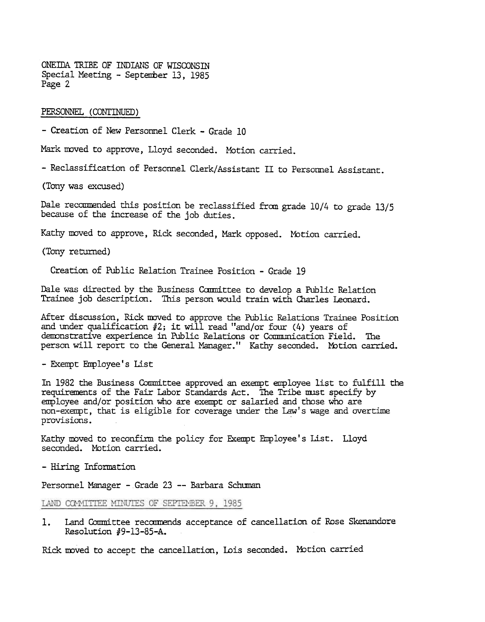ONEIDA TRIBE OF INDIANS OF WISCONSIN Special Meeting - September 13, 1985 Page 2

# PERSONNEL. (CONTINUED)

-Creation of New Personnel Clerk -Grade 10

Mark moved to approve, Lloyd seconded. Motion carried.

-Reclassification of Personnel Clerk/Assistant II to Personnel Assistant.

(Tony was excused)

Dale recommended this position be reclassified from grade 10/4 to grade 13/5 because of the increase of the job duties.

Kathy moved to approve, Rick seconded, Mark opposed. Motion carried.

(Tony returned)

Creation of Public Relation Trainee Position -Grade 19

Dale was directed by the Business Committee to develop a Public Relation Trainee job description. This person would train with Charles Leonard.

After discussion, Rick moved to approve the Public Relations Trainee Position and under qualification  $#2$ ; it will read "and/or four (4) years of demonstrative experience in Public Relations or Communication Field. The person will report to the General Manager." Kathy seconded. Motion carrie

-Exempt Fmployee' s list

In 1982 the Business Committee approved an exempt employee list to fulfill the requirements of the Fair Labor Standards Act. The Tribe must specify by employee and/or position who are exempt or salaried and those who are non-exempt, that is eligible for coverage under the law's wage and overtime provisions. .

Kathy moved to reconfirm the policy for Exempt Employee's List. Lloyd seconded. Motion carried.

- Hiring Information

Personnel Manager - Grade 23 -- Barbara Schuman

LAND COMMITTEE MINUTES OF SEPTEMBER 9, 1985

Land Committee recommends acceptance of cancellation of Rose Skenandore Resolution #9-13-85-A. 1.

Rick moved to accept the cancellation, Lois seconded. Motion carried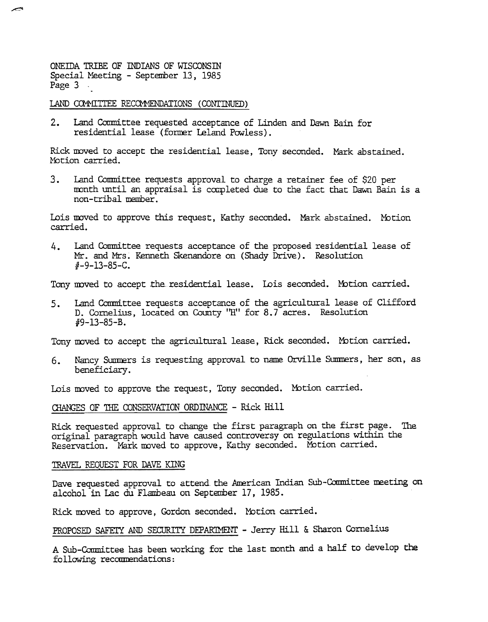ONEIDA TRIBE OF INDIANS OF WISCONSIN Special Meeting - September 13, 1985 Page 3 .

~

# LAND COMMITTEE RECOMMENDATIONS (CONTINUED)

 $2.$ Land Conmittee requested acceptance of Linden and Dawn Bain for residential lease (former Leland Powless).

Rick moved to accept the residential lease, Tony seconded. Mark abstain Motion carried.

3. Land Committee requests approval to charge a retainer fee of \$20 per month until an appraisal is completed due to the fact that Dawn Bain is a non-tribal member.

Lois moved to approve this request, Kathy seconded. Mark abstained. Moti carried.

Mr. and Mrs. Kenneth Skenandore on (Shady Drive). Resolution  $#$ -9-13-85-C.

Tony moved to accept the residential lease. Lois seconded. Motion carried.

4. Land Committee requests acceptance of the proposed residential lease of the proposed readers. We<br>control of the coordinate requests acceptance of the agricultural lease of Clifform<br>5. Land Committee requests acceptance Land Committee requests acceptance of the agricultural lease of Clifford D. Cornelius, located on County "H" for 8.7 acres. Resolution 119-13-85-B. 5.

Tony moved to accept the agricultural lease, Rick seconded. Motion carried.

Nancy Summers is requesting approval to name Orville Summers, her son, as beneficiary .

Lois moved to approve the request, Tony seconded. Motion carried.

# CHANGES OF THE CONSERVATION ORDINANCE - Rick Hill

Rick requested approval to change the first paragraph on the first page. The original paragraph would have caused controversy on regulations within the Reservation. Mark moved to approve, Kathy seconded. Motion carried.

# TRAVEL REQUEST FOR DAVE KING

Dave requested approval to attend the American Indian Sub-Committee meeting on alcohol in Lac du Flambeau on September 17, 1985.

Rick moved to approve, Gordon seconded. Motion carried.

PROPOSED SAFEIY AND SECURITY DEPARIMENT - Jerry Hill & Sharon Cornelius

A Sub-Committee has been working for the last month and a half to develop the following recommendations: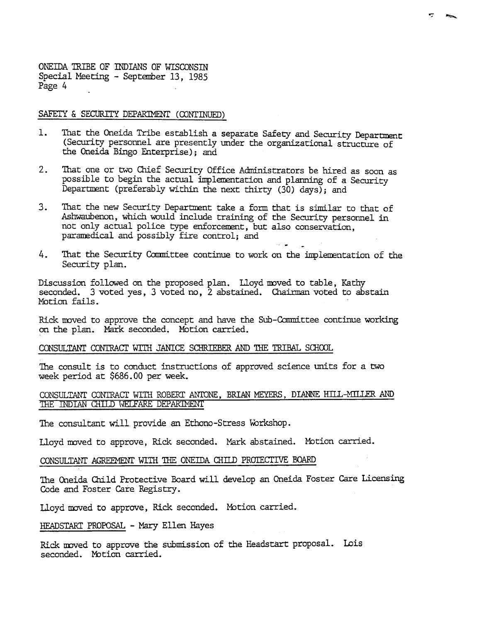ONEIDA TRIBE OF INDIANS OF WISCONSIN Special Meeting - September 13, 1985 Page 4

# SAFETY & SECURITY DEPARIMENT (CONTINUED)

- l. That the Oneida Tribe establish a separate Safety and Security Department (Security personnel are presently under the organizational structure of the Oneida Bingo Enterprise); and
- $2.$ That one or two Chief Security Office Administrators be hired as soon as possible to begin the actual implementation and planning of a Security Department (preferably within the next thirty (30) days); and
- $3.$ That the new Security Department take a form that is similar to that of Ashwaubenon, which would include training of the Security personnel in not only actual police type enforcement, but also conservation, paramedical and possibly fire control; and
- That the Security Committee continue to work on the implementation of the 4. Security plan.

Discussion followed on the proposed plan. Lloyd moved to table, Kathy seconded. 3 voted yes, 3 voted no, 2 abstained. Chairman voted to abstain Motion fails.

Rick moved to approve the concept and have the Sub-Committee continue working on the plan. Mark seconded. Motion carried.

# CONSULTANT CONTRACT WITH JANICE SCHRIEBER AND THE TRIBAL SCHOOL

The consult is to conduct instructions of approved science units for a two week period at \$686.00 per week.

# CONSULTANT CONTRACT WITH ROBERT ANTONE, BRIAN MEYERS, DIANNE HILL-MILLER AND THE INDIAN CHILD WELFARE DEPARTMENT

The consultant will provide an Ethono-Stress Workshop.

Lloyd moved to approve, Rick seconded. Mark abstained. Motion carried.

#### CONSULTANT AGREEMENT WITH THE ONEIDA CHILD PROTECTIVE BOARD

The Oneida Child Protective Board will develop an Oneida Foster Care Licensing Code and Foster Care Registry.

Lloyd moved to approve, Rick seconded. Motion carried.

HEADSTART PROPOSAL - Mary Ellen Hayes

Rick moved to approve the submission of the Headstart proposal. Lois seconded. Motion carried.